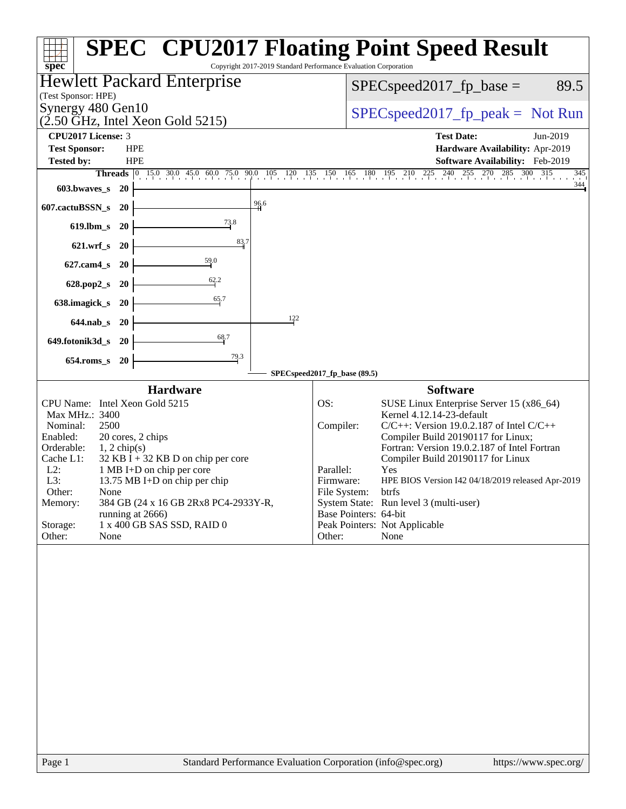| Copyright 2017-2019 Standard Performance Evaluation Corporation<br>spec <sup>®</sup>                                                                                                                                                                                                                                                                                                                                                              | <b>SPEC<sup>®</sup> CPU2017 Floating Point Speed Result</b>                                                                                                                                                                                                                                                                                                                                                                                                                                                                   |
|---------------------------------------------------------------------------------------------------------------------------------------------------------------------------------------------------------------------------------------------------------------------------------------------------------------------------------------------------------------------------------------------------------------------------------------------------|-------------------------------------------------------------------------------------------------------------------------------------------------------------------------------------------------------------------------------------------------------------------------------------------------------------------------------------------------------------------------------------------------------------------------------------------------------------------------------------------------------------------------------|
| <b>Hewlett Packard Enterprise</b><br>(Test Sponsor: HPE)                                                                                                                                                                                                                                                                                                                                                                                          | $SPEC speed2017_fp\_base =$<br>89.5                                                                                                                                                                                                                                                                                                                                                                                                                                                                                           |
| Synergy 480 Gen10<br>$(2.50 \text{ GHz}, \text{Intel Xeon Gold } 5215)$                                                                                                                                                                                                                                                                                                                                                                           | $SPEC speed2017_fp\_peak = Not Run$                                                                                                                                                                                                                                                                                                                                                                                                                                                                                           |
| <b>CPU2017 License: 3</b>                                                                                                                                                                                                                                                                                                                                                                                                                         | <b>Test Date:</b><br>Jun-2019                                                                                                                                                                                                                                                                                                                                                                                                                                                                                                 |
| <b>Test Sponsor:</b><br><b>HPE</b>                                                                                                                                                                                                                                                                                                                                                                                                                | Hardware Availability: Apr-2019                                                                                                                                                                                                                                                                                                                                                                                                                                                                                               |
| <b>Tested by:</b><br><b>HPE</b>                                                                                                                                                                                                                                                                                                                                                                                                                   | Software Availability: Feb-2019                                                                                                                                                                                                                                                                                                                                                                                                                                                                                               |
|                                                                                                                                                                                                                                                                                                                                                                                                                                                   | <b>Threads</b> 0 15.0 30.0 45.0 60.0 75.0 90.0 105 120 135 150 165 180 195 210 225 240 255 270 285 300 315<br>345<br>344                                                                                                                                                                                                                                                                                                                                                                                                      |
| 603.bwaves_s<br>- 20<br>$\frac{96.6}{9}$                                                                                                                                                                                                                                                                                                                                                                                                          |                                                                                                                                                                                                                                                                                                                                                                                                                                                                                                                               |
| 607.cactuBSSN_s<br><b>20</b><br>$\frac{73.8}{9}$<br>$619$ .lbm_s<br>- 20                                                                                                                                                                                                                                                                                                                                                                          |                                                                                                                                                                                                                                                                                                                                                                                                                                                                                                                               |
| 83.7<br>621.wrf_s 20                                                                                                                                                                                                                                                                                                                                                                                                                              |                                                                                                                                                                                                                                                                                                                                                                                                                                                                                                                               |
| $\frac{59.0}{2}$<br>$627$ .cam $4_s$<br>-20                                                                                                                                                                                                                                                                                                                                                                                                       |                                                                                                                                                                                                                                                                                                                                                                                                                                                                                                                               |
| 62.2<br>628.pop2_s<br><b>20</b>                                                                                                                                                                                                                                                                                                                                                                                                                   |                                                                                                                                                                                                                                                                                                                                                                                                                                                                                                                               |
| 65.7<br>638.imagick_s<br><b>20</b>                                                                                                                                                                                                                                                                                                                                                                                                                |                                                                                                                                                                                                                                                                                                                                                                                                                                                                                                                               |
| 122<br>644.nab_s 20                                                                                                                                                                                                                                                                                                                                                                                                                               |                                                                                                                                                                                                                                                                                                                                                                                                                                                                                                                               |
| 68.7<br>649.fotonik3d_s<br>- 20                                                                                                                                                                                                                                                                                                                                                                                                                   |                                                                                                                                                                                                                                                                                                                                                                                                                                                                                                                               |
| 79.3<br>$654$ .roms_s<br><b>20</b>                                                                                                                                                                                                                                                                                                                                                                                                                |                                                                                                                                                                                                                                                                                                                                                                                                                                                                                                                               |
|                                                                                                                                                                                                                                                                                                                                                                                                                                                   | SPECspeed2017_fp_base (89.5)                                                                                                                                                                                                                                                                                                                                                                                                                                                                                                  |
| <b>Hardware</b><br>CPU Name: Intel Xeon Gold 5215<br>Max MHz.: 3400<br>Nominal:<br>2500<br>Enabled:<br>20 cores, 2 chips<br>Orderable:<br>$1, 2$ chip(s)<br>$32$ KB I + 32 KB D on chip per core<br>Cache L1:<br>$L2$ :<br>1 MB I+D on chip per core<br>13.75 MB I+D on chip per chip<br>L3:<br>Other:<br>None<br>384 GB (24 x 16 GB 2Rx8 PC4-2933Y-R,<br>Memory:<br>running at 2666)<br>1 x 400 GB SAS SSD, RAID 0<br>Storage:<br>Other:<br>None | <b>Software</b><br>OS:<br>SUSE Linux Enterprise Server 15 (x86_64)<br>Kernel 4.12.14-23-default<br>$C/C++$ : Version 19.0.2.187 of Intel $C/C++$<br>Compiler:<br>Compiler Build 20190117 for Linux;<br>Fortran: Version 19.0.2.187 of Intel Fortran<br>Compiler Build 20190117 for Linux<br>Parallel:<br>Yes<br>Firmware:<br>HPE BIOS Version I42 04/18/2019 released Apr-2019<br>File System:<br>btrfs<br>System State: Run level 3 (multi-user)<br>Base Pointers: 64-bit<br>Peak Pointers: Not Applicable<br>Other:<br>None |
| Standard Performance Evaluation Corporation (info@spec.org)<br>Page 1                                                                                                                                                                                                                                                                                                                                                                             | https://www.spec.org/                                                                                                                                                                                                                                                                                                                                                                                                                                                                                                         |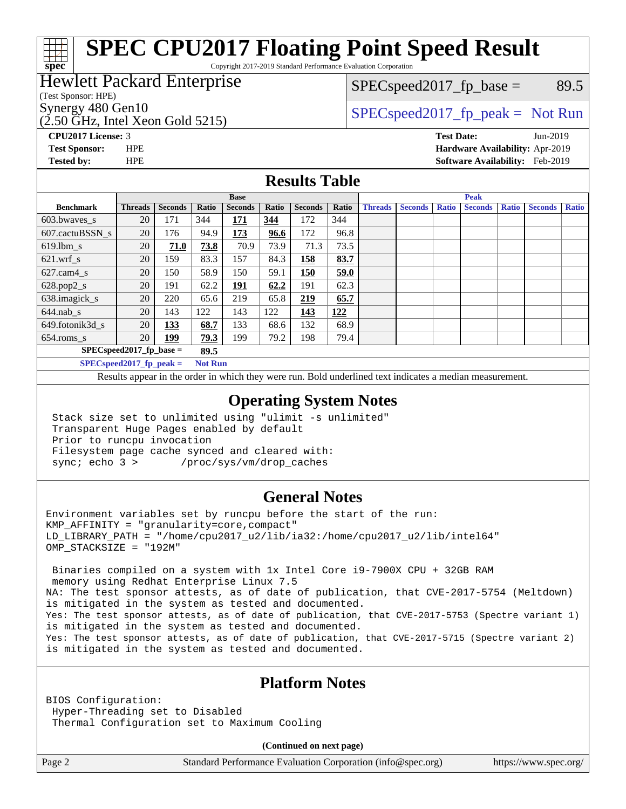### **[SPEC CPU2017 Floating Point Speed Result](http://www.spec.org/auto/cpu2017/Docs/result-fields.html#SPECCPU2017FloatingPointSpeedResult)** Copyright 2017-2019 Standard Performance Evaluation Corporation

### Hewlett Packard Enterprise

### $SPEC speed2017_fp\_base = 89.5$

(Test Sponsor: HPE)

**[spec](http://www.spec.org/)**

(2.50 GHz, Intel Xeon Gold 5215)

Synergy 480 Gen10  $S^{perg}$  [SPECspeed2017\\_fp\\_peak =](http://www.spec.org/auto/cpu2017/Docs/result-fields.html#SPECspeed2017fppeak) Not Run

**[CPU2017 License:](http://www.spec.org/auto/cpu2017/Docs/result-fields.html#CPU2017License)** 3 **[Test Date:](http://www.spec.org/auto/cpu2017/Docs/result-fields.html#TestDate)** Jun-2019 **[Test Sponsor:](http://www.spec.org/auto/cpu2017/Docs/result-fields.html#TestSponsor)** HPE **[Hardware Availability:](http://www.spec.org/auto/cpu2017/Docs/result-fields.html#HardwareAvailability)** Apr-2019 **[Tested by:](http://www.spec.org/auto/cpu2017/Docs/result-fields.html#Testedby)** HPE **[Software Availability:](http://www.spec.org/auto/cpu2017/Docs/result-fields.html#SoftwareAvailability)** Feb-2019

### **[Results Table](http://www.spec.org/auto/cpu2017/Docs/result-fields.html#ResultsTable)**

|                                    | <b>Base</b>    |                |                |                |       | <b>Peak</b>    |       |                |                |              |                |              |                |              |
|------------------------------------|----------------|----------------|----------------|----------------|-------|----------------|-------|----------------|----------------|--------------|----------------|--------------|----------------|--------------|
| <b>Benchmark</b>                   | <b>Threads</b> | <b>Seconds</b> | Ratio          | <b>Seconds</b> | Ratio | <b>Seconds</b> | Ratio | <b>Threads</b> | <b>Seconds</b> | <b>Ratio</b> | <b>Seconds</b> | <b>Ratio</b> | <b>Seconds</b> | <b>Ratio</b> |
| 603.bwayes s                       | 20             | 171            | 344            | 171            | 344   | 172            | 344   |                |                |              |                |              |                |              |
| 607.cactuBSSN s                    | 20             | 176            | 94.9           | 173            | 96.6  | 172            | 96.8  |                |                |              |                |              |                |              |
| $619.$ lbm $_s$                    | 20             | 71.0           | 73.8           | 70.9           | 73.9  | 71.3           | 73.5  |                |                |              |                |              |                |              |
| $621.wrf$ s                        | 20             | 159            | 83.3           | 157            | 84.3  | 158            | 83.7  |                |                |              |                |              |                |              |
| $627$ .cam $4$ <sub>-S</sub>       | 20             | 150            | 58.9           | 150            | 59.1  | 150            | 59.0  |                |                |              |                |              |                |              |
| $628.pop2_s$                       | 20             | 191            | 62.2           | 191            | 62.2  | 191            | 62.3  |                |                |              |                |              |                |              |
| 638.imagick_s                      | 20             | 220            | 65.6           | 219            | 65.8  | 219            | 65.7  |                |                |              |                |              |                |              |
| $644$ .nab s                       | 20             | 143            | 122            | 143            | 122   | <u>143</u>     | 122   |                |                |              |                |              |                |              |
| 649.fotonik3d s                    | 20             | <u>133</u>     | 68.7           | 133            | 68.6  | 132            | 68.9  |                |                |              |                |              |                |              |
| $654$ .roms s                      | 20             | <u> 199</u>    | 79.3           | 199            | 79.2  | 198            | 79.4  |                |                |              |                |              |                |              |
| $SPEC speed2017$ fp base =<br>89.5 |                |                |                |                |       |                |       |                |                |              |                |              |                |              |
| $SPECspeed2017$ fp peak =          |                |                | <b>Not Run</b> |                |       |                |       |                |                |              |                |              |                |              |

Results appear in the [order in which they were run.](http://www.spec.org/auto/cpu2017/Docs/result-fields.html#RunOrder) Bold underlined text [indicates a median measurement](http://www.spec.org/auto/cpu2017/Docs/result-fields.html#Median).

### **[Operating System Notes](http://www.spec.org/auto/cpu2017/Docs/result-fields.html#OperatingSystemNotes)**

 Stack size set to unlimited using "ulimit -s unlimited" Transparent Huge Pages enabled by default Prior to runcpu invocation Filesystem page cache synced and cleared with: sync; echo 3 > /proc/sys/vm/drop\_caches

### **[General Notes](http://www.spec.org/auto/cpu2017/Docs/result-fields.html#GeneralNotes)**

Environment variables set by runcpu before the start of the run: KMP\_AFFINITY = "granularity=core,compact" LD\_LIBRARY\_PATH = "/home/cpu2017\_u2/lib/ia32:/home/cpu2017\_u2/lib/intel64" OMP\_STACKSIZE = "192M"

 Binaries compiled on a system with 1x Intel Core i9-7900X CPU + 32GB RAM memory using Redhat Enterprise Linux 7.5 NA: The test sponsor attests, as of date of publication, that CVE-2017-5754 (Meltdown) is mitigated in the system as tested and documented. Yes: The test sponsor attests, as of date of publication, that CVE-2017-5753 (Spectre variant 1) is mitigated in the system as tested and documented. Yes: The test sponsor attests, as of date of publication, that CVE-2017-5715 (Spectre variant 2) is mitigated in the system as tested and documented.

### **[Platform Notes](http://www.spec.org/auto/cpu2017/Docs/result-fields.html#PlatformNotes)**

BIOS Configuration: Hyper-Threading set to Disabled Thermal Configuration set to Maximum Cooling

**(Continued on next page)**

Page 2 Standard Performance Evaluation Corporation [\(info@spec.org\)](mailto:info@spec.org) <https://www.spec.org/>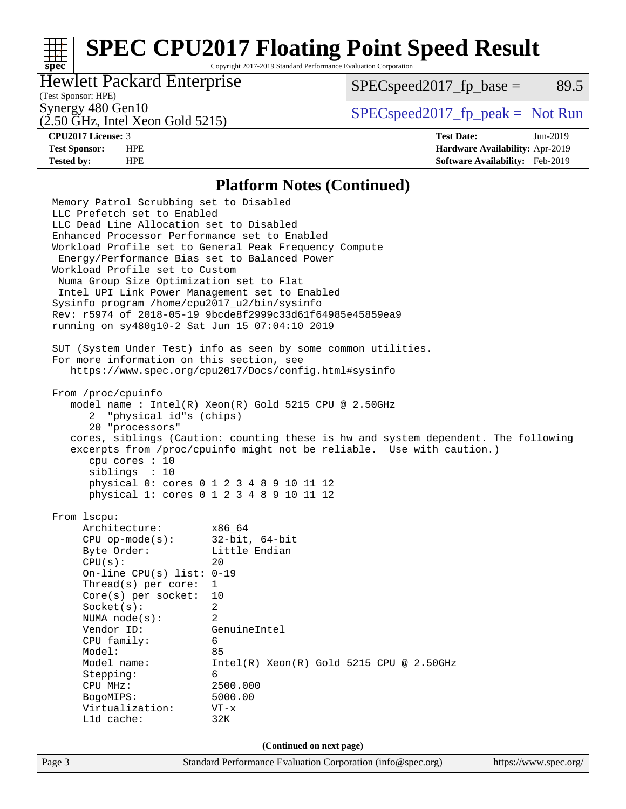## **[SPEC CPU2017 Floating Point Speed Result](http://www.spec.org/auto/cpu2017/Docs/result-fields.html#SPECCPU2017FloatingPointSpeedResult)**

Copyright 2017-2019 Standard Performance Evaluation Corporation

### Hewlett Packard Enterprise

 $SPEC speed2017<sub>fp</sub> base = 89.5$ 

### (Test Sponsor: HPE)

(2.50 GHz, Intel Xeon Gold 5215)

Synergy 480 Gen10  $S^{perg}$  [SPECspeed2017\\_fp\\_peak =](http://www.spec.org/auto/cpu2017/Docs/result-fields.html#SPECspeed2017fppeak) Not Run

**[spec](http://www.spec.org/)**

**[CPU2017 License:](http://www.spec.org/auto/cpu2017/Docs/result-fields.html#CPU2017License)** 3 **[Test Date:](http://www.spec.org/auto/cpu2017/Docs/result-fields.html#TestDate)** Jun-2019 **[Test Sponsor:](http://www.spec.org/auto/cpu2017/Docs/result-fields.html#TestSponsor)** HPE **[Hardware Availability:](http://www.spec.org/auto/cpu2017/Docs/result-fields.html#HardwareAvailability)** Apr-2019 **[Tested by:](http://www.spec.org/auto/cpu2017/Docs/result-fields.html#Testedby)** HPE **[Software Availability:](http://www.spec.org/auto/cpu2017/Docs/result-fields.html#SoftwareAvailability)** Feb-2019

### **[Platform Notes \(Continued\)](http://www.spec.org/auto/cpu2017/Docs/result-fields.html#PlatformNotes)**

Page 3 Standard Performance Evaluation Corporation [\(info@spec.org\)](mailto:info@spec.org) <https://www.spec.org/> Memory Patrol Scrubbing set to Disabled LLC Prefetch set to Enabled LLC Dead Line Allocation set to Disabled Enhanced Processor Performance set to Enabled Workload Profile set to General Peak Frequency Compute Energy/Performance Bias set to Balanced Power Workload Profile set to Custom Numa Group Size Optimization set to Flat Intel UPI Link Power Management set to Enabled Sysinfo program /home/cpu2017\_u2/bin/sysinfo Rev: r5974 of 2018-05-19 9bcde8f2999c33d61f64985e45859ea9 running on sy480g10-2 Sat Jun 15 07:04:10 2019 SUT (System Under Test) info as seen by some common utilities. For more information on this section, see <https://www.spec.org/cpu2017/Docs/config.html#sysinfo> From /proc/cpuinfo model name : Intel(R) Xeon(R) Gold 5215 CPU @ 2.50GHz 2 "physical id"s (chips) 20 "processors" cores, siblings (Caution: counting these is hw and system dependent. The following excerpts from /proc/cpuinfo might not be reliable. Use with caution.) cpu cores : 10 siblings : 10 physical 0: cores 0 1 2 3 4 8 9 10 11 12 physical 1: cores 0 1 2 3 4 8 9 10 11 12 From lscpu: Architecture: x86\_64 CPU op-mode(s): 32-bit, 64-bit Byte Order: Little Endian  $CPU(s):$  20 On-line CPU(s) list: 0-19 Thread(s) per core: 1 Core(s) per socket: 10 Socket(s): 2 NUMA node(s): 2 Vendor ID: GenuineIntel CPU family: 6 Model: 85 Model name: Intel(R) Xeon(R) Gold 5215 CPU @ 2.50GHz Stepping: 6 CPU MHz: 2500.000 BogoMIPS: 5000.00 Virtualization: VT-x L1d cache: 32K **(Continued on next page)**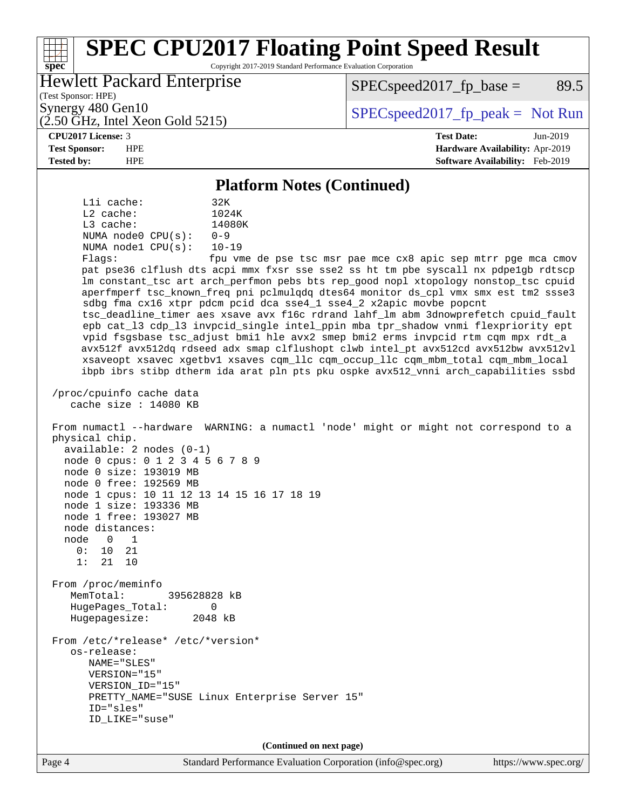### **[spec](http://www.spec.org/) [SPEC CPU2017 Floating Point Speed Result](http://www.spec.org/auto/cpu2017/Docs/result-fields.html#SPECCPU2017FloatingPointSpeedResult)** Copyright 2017-2019 Standard Performance Evaluation Corporation (Test Sponsor: HPE) Hewlett Packard Enterprise (2.50 GHz, Intel Xeon Gold 5215) Synergy 480 Gen10  $S^{per}$  [SPECspeed2017\\_fp\\_peak =](http://www.spec.org/auto/cpu2017/Docs/result-fields.html#SPECspeed2017fppeak) Not Run  $SPEC speed2017_fp\_base = 89.5$ **[CPU2017 License:](http://www.spec.org/auto/cpu2017/Docs/result-fields.html#CPU2017License)** 3 **[Test Date:](http://www.spec.org/auto/cpu2017/Docs/result-fields.html#TestDate)** Jun-2019 **[Test Sponsor:](http://www.spec.org/auto/cpu2017/Docs/result-fields.html#TestSponsor)** HPE **[Hardware Availability:](http://www.spec.org/auto/cpu2017/Docs/result-fields.html#HardwareAvailability)** Apr-2019 **[Tested by:](http://www.spec.org/auto/cpu2017/Docs/result-fields.html#Testedby)** HPE **[Software Availability:](http://www.spec.org/auto/cpu2017/Docs/result-fields.html#SoftwareAvailability)** Feb-2019 **[Platform Notes \(Continued\)](http://www.spec.org/auto/cpu2017/Docs/result-fields.html#PlatformNotes)** L1i cache: 32K L2 cache: 1024K L3 cache: 14080K NUMA node0 CPU(s): 0-9 NUMA node1 CPU(s): 10-19 Flags: fpu vme de pse tsc msr pae mce cx8 apic sep mtrr pge mca cmov pat pse36 clflush dts acpi mmx fxsr sse sse2 ss ht tm pbe syscall nx pdpe1gb rdtscp lm constant\_tsc art arch\_perfmon pebs bts rep\_good nopl xtopology nonstop\_tsc cpuid aperfmperf tsc\_known\_freq pni pclmulqdq dtes64 monitor ds\_cpl vmx smx est tm2 ssse3 sdbg fma cx16 xtpr pdcm pcid dca sse4\_1 sse4\_2 x2apic movbe popcnt tsc\_deadline\_timer aes xsave avx f16c rdrand lahf\_lm abm 3dnowprefetch cpuid\_fault epb cat\_l3 cdp\_l3 invpcid\_single intel\_ppin mba tpr\_shadow vnmi flexpriority ept vpid fsgsbase tsc\_adjust bmi1 hle avx2 smep bmi2 erms invpcid rtm cqm mpx rdt\_a avx512f avx512dq rdseed adx smap clflushopt clwb intel\_pt avx512cd avx512bw avx512vl xsaveopt xsavec xgetbv1 xsaves cqm\_llc cqm\_occup\_llc cqm\_mbm\_total cqm\_mbm\_local ibpb ibrs stibp dtherm ida arat pln pts pku ospke avx512\_vnni arch\_capabilities ssbd /proc/cpuinfo cache data cache size : 14080 KB From numactl --hardware WARNING: a numactl 'node' might or might not correspond to a physical chip. available: 2 nodes (0-1) node 0 cpus: 0 1 2 3 4 5 6 7 8 9 node 0 size: 193019 MB node 0 free: 192569 MB node 1 cpus: 10 11 12 13 14 15 16 17 18 19 node 1 size: 193336 MB node 1 free: 193027 MB node distances: node 0 1 0: 10 21 1: 21 10 From /proc/meminfo MemTotal: 395628828 kB HugePages\_Total: 0 Hugepagesize: 2048 kB From /etc/\*release\* /etc/\*version\* os-release: NAME="SLES" VERSION="15" VERSION\_ID="15" PRETTY\_NAME="SUSE Linux Enterprise Server 15" ID="sles" ID\_LIKE="suse" **(Continued on next page)**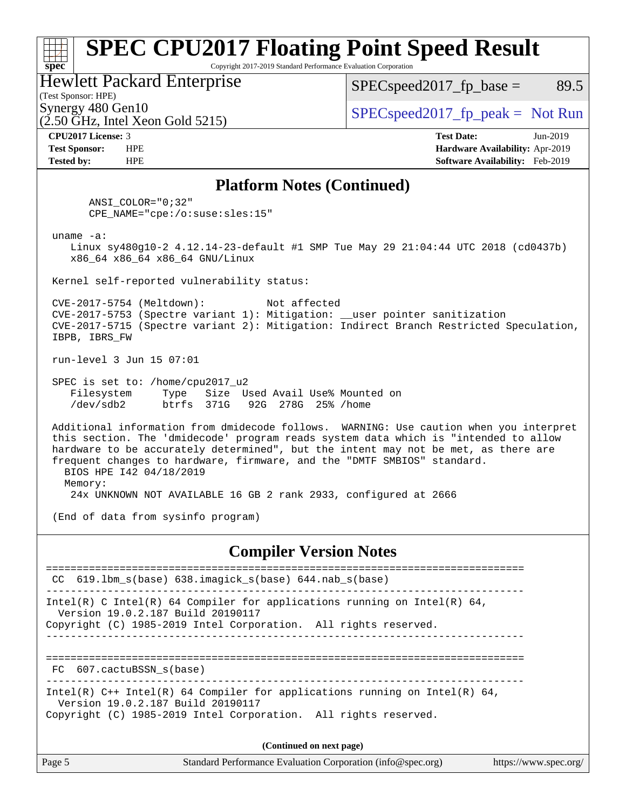### **[spec](http://www.spec.org/) [SPEC CPU2017 Floating Point Speed Result](http://www.spec.org/auto/cpu2017/Docs/result-fields.html#SPECCPU2017FloatingPointSpeedResult)** Copyright 2017-2019 Standard Performance Evaluation Corporation (Test Sponsor: HPE) Hewlett Packard Enterprise  $(2.50 \text{ GHz}, \text{Intel Xeon}$  Gold 5215) Synergy 480 Gen10  $S^{per}$  [SPECspeed2017\\_fp\\_peak =](http://www.spec.org/auto/cpu2017/Docs/result-fields.html#SPECspeed2017fppeak) Not Run  $SPEC speed2017_fp\_base = 89.5$ **[CPU2017 License:](http://www.spec.org/auto/cpu2017/Docs/result-fields.html#CPU2017License)** 3 **[Test Date:](http://www.spec.org/auto/cpu2017/Docs/result-fields.html#TestDate)** Jun-2019 **[Test Sponsor:](http://www.spec.org/auto/cpu2017/Docs/result-fields.html#TestSponsor)** HPE **[Hardware Availability:](http://www.spec.org/auto/cpu2017/Docs/result-fields.html#HardwareAvailability)** Apr-2019 **[Tested by:](http://www.spec.org/auto/cpu2017/Docs/result-fields.html#Testedby)** HPE **[Software Availability:](http://www.spec.org/auto/cpu2017/Docs/result-fields.html#SoftwareAvailability)** Feb-2019 **[Platform Notes \(Continued\)](http://www.spec.org/auto/cpu2017/Docs/result-fields.html#PlatformNotes)** ANSI\_COLOR="0;32" CPE\_NAME="cpe:/o:suse:sles:15" uname -a: Linux sy480g10-2 4.12.14-23-default #1 SMP Tue May 29 21:04:44 UTC 2018 (cd0437b) x86\_64 x86\_64 x86\_64 GNU/Linux Kernel self-reported vulnerability status: CVE-2017-5754 (Meltdown): Not affected CVE-2017-5753 (Spectre variant 1): Mitigation: \_\_user pointer sanitization CVE-2017-5715 (Spectre variant 2): Mitigation: Indirect Branch Restricted Speculation, IBPB, IBRS\_FW run-level 3 Jun 15 07:01 SPEC is set to: /home/cpu2017\_u2 Filesystem Type Size Used Avail Use% Mounted on /dev/sdb2 btrfs 371G 92G 278G 25% /home Additional information from dmidecode follows. WARNING: Use caution when you interpret this section. The 'dmidecode' program reads system data which is "intended to allow hardware to be accurately determined", but the intent may not be met, as there are frequent changes to hardware, firmware, and the "DMTF SMBIOS" standard. BIOS HPE I42 04/18/2019 Memory: 24x UNKNOWN NOT AVAILABLE 16 GB 2 rank 2933, configured at 2666 (End of data from sysinfo program) **[Compiler Version Notes](http://www.spec.org/auto/cpu2017/Docs/result-fields.html#CompilerVersionNotes)** ============================================================================== CC 619.lbm\_s(base) 638.imagick\_s(base) 644.nab\_s(base) ------------------------------------------------------------------------------ Intel(R) C Intel(R) 64 Compiler for applications running on Intel(R)  $64$ , Version 19.0.2.187 Build 20190117 Copyright (C) 1985-2019 Intel Corporation. All rights reserved. ------------------------------------------------------------------------------ ============================================================================== FC 607.cactuBSSN\_s(base) ------------------------------------------------------------------------------ Intel(R) C++ Intel(R) 64 Compiler for applications running on Intel(R) 64, Version 19.0.2.187 Build 20190117 Copyright (C) 1985-2019 Intel Corporation. All rights reserved. **(Continued on next page)**

| Page 5<br>Standard Performance Evaluation Corporation (info@spec.org)<br>https://www.spec.org/ |
|------------------------------------------------------------------------------------------------|
|------------------------------------------------------------------------------------------------|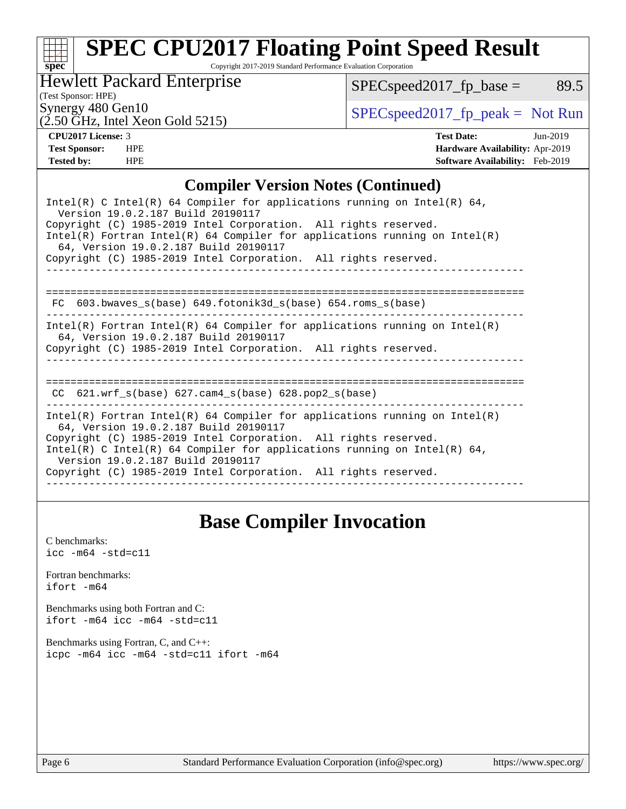# **[spec](http://www.spec.org/)**

# **[SPEC CPU2017 Floating Point Speed Result](http://www.spec.org/auto/cpu2017/Docs/result-fields.html#SPECCPU2017FloatingPointSpeedResult)**

Copyright 2017-2019 Standard Performance Evaluation Corporation

Hewlett Packard Enterprise

 $(2.50 \text{ GHz}, \text{Intel Xeon Gold } 5215)$ 

 $SPEC speed2017_fp\_base = 89.5$ 

(Test Sponsor: HPE)

Synergy 480 Gen10<br>  $SPEC speed2017<sub>rfp</sub> peak = Not Run$ 

**[CPU2017 License:](http://www.spec.org/auto/cpu2017/Docs/result-fields.html#CPU2017License)** 3 **[Test Date:](http://www.spec.org/auto/cpu2017/Docs/result-fields.html#TestDate)** Jun-2019 **[Test Sponsor:](http://www.spec.org/auto/cpu2017/Docs/result-fields.html#TestSponsor)** HPE **[Hardware Availability:](http://www.spec.org/auto/cpu2017/Docs/result-fields.html#HardwareAvailability)** Apr-2019 **[Tested by:](http://www.spec.org/auto/cpu2017/Docs/result-fields.html#Testedby)** HPE **[Software Availability:](http://www.spec.org/auto/cpu2017/Docs/result-fields.html#SoftwareAvailability)** Feb-2019

### **[Compiler Version Notes \(Continued\)](http://www.spec.org/auto/cpu2017/Docs/result-fields.html#CompilerVersionNotes)**

| Intel(R) C Intel(R) 64 Compiler for applications running on Intel(R) 64,<br>Version 19.0.2.187 Build 20190117<br>Copyright (C) 1985-2019 Intel Corporation. All rights reserved.<br>$Intel(R)$ Fortran Intel(R) 64 Compiler for applications running on Intel(R)<br>64, Version 19.0.2.187 Build 20190117 |  |  |  |  |  |  |  |
|-----------------------------------------------------------------------------------------------------------------------------------------------------------------------------------------------------------------------------------------------------------------------------------------------------------|--|--|--|--|--|--|--|
| Copyright (C) 1985-2019 Intel Corporation. All rights reserved.                                                                                                                                                                                                                                           |  |  |  |  |  |  |  |
|                                                                                                                                                                                                                                                                                                           |  |  |  |  |  |  |  |
| 603.bwaves s(base) 649.fotonik3d s(base) 654.roms s(base)<br>FC                                                                                                                                                                                                                                           |  |  |  |  |  |  |  |
| Intel(R) Fortran Intel(R) 64 Compiler for applications running on Intel(R)<br>64, Version 19.0.2.187 Build 20190117<br>Copyright (C) 1985-2019 Intel Corporation. All rights reserved.                                                                                                                    |  |  |  |  |  |  |  |
|                                                                                                                                                                                                                                                                                                           |  |  |  |  |  |  |  |
| CC $621.$ wrf $s(base)$ $627.$ cam4 $s(base)$ $628.$ pop2 $s(base)$                                                                                                                                                                                                                                       |  |  |  |  |  |  |  |
| Intel(R) Fortran Intel(R) 64 Compiler for applications running on Intel(R)<br>64, Version 19.0.2.187 Build 20190117<br>Copyright (C) 1985-2019 Intel Corporation. All rights reserved.                                                                                                                    |  |  |  |  |  |  |  |
| Intel(R) C Intel(R) 64 Compiler for applications running on Intel(R) 64,<br>Version 19.0.2.187 Build 20190117                                                                                                                                                                                             |  |  |  |  |  |  |  |
| Copyright (C) 1985-2019 Intel Corporation. All rights reserved.                                                                                                                                                                                                                                           |  |  |  |  |  |  |  |
|                                                                                                                                                                                                                                                                                                           |  |  |  |  |  |  |  |

### **[Base Compiler Invocation](http://www.spec.org/auto/cpu2017/Docs/result-fields.html#BaseCompilerInvocation)**

[C benchmarks](http://www.spec.org/auto/cpu2017/Docs/result-fields.html#Cbenchmarks):  $\text{icc}$  -m64 -std=c11 [Fortran benchmarks](http://www.spec.org/auto/cpu2017/Docs/result-fields.html#Fortranbenchmarks): [ifort -m64](http://www.spec.org/cpu2017/results/res2019q3/cpu2017-20190709-16108.flags.html#user_FCbase_intel_ifort_64bit_24f2bb282fbaeffd6157abe4f878425411749daecae9a33200eee2bee2fe76f3b89351d69a8130dd5949958ce389cf37ff59a95e7a40d588e8d3a57e0c3fd751) [Benchmarks using both Fortran and C](http://www.spec.org/auto/cpu2017/Docs/result-fields.html#BenchmarksusingbothFortranandC): [ifort -m64](http://www.spec.org/cpu2017/results/res2019q3/cpu2017-20190709-16108.flags.html#user_CC_FCbase_intel_ifort_64bit_24f2bb282fbaeffd6157abe4f878425411749daecae9a33200eee2bee2fe76f3b89351d69a8130dd5949958ce389cf37ff59a95e7a40d588e8d3a57e0c3fd751) [icc -m64 -std=c11](http://www.spec.org/cpu2017/results/res2019q3/cpu2017-20190709-16108.flags.html#user_CC_FCbase_intel_icc_64bit_c11_33ee0cdaae7deeeab2a9725423ba97205ce30f63b9926c2519791662299b76a0318f32ddfffdc46587804de3178b4f9328c46fa7c2b0cd779d7a61945c91cd35) [Benchmarks using Fortran, C, and C++:](http://www.spec.org/auto/cpu2017/Docs/result-fields.html#BenchmarksusingFortranCandCXX) [icpc -m64](http://www.spec.org/cpu2017/results/res2019q3/cpu2017-20190709-16108.flags.html#user_CC_CXX_FCbase_intel_icpc_64bit_4ecb2543ae3f1412ef961e0650ca070fec7b7afdcd6ed48761b84423119d1bf6bdf5cad15b44d48e7256388bc77273b966e5eb805aefd121eb22e9299b2ec9d9) [icc -m64 -std=c11](http://www.spec.org/cpu2017/results/res2019q3/cpu2017-20190709-16108.flags.html#user_CC_CXX_FCbase_intel_icc_64bit_c11_33ee0cdaae7deeeab2a9725423ba97205ce30f63b9926c2519791662299b76a0318f32ddfffdc46587804de3178b4f9328c46fa7c2b0cd779d7a61945c91cd35) [ifort -m64](http://www.spec.org/cpu2017/results/res2019q3/cpu2017-20190709-16108.flags.html#user_CC_CXX_FCbase_intel_ifort_64bit_24f2bb282fbaeffd6157abe4f878425411749daecae9a33200eee2bee2fe76f3b89351d69a8130dd5949958ce389cf37ff59a95e7a40d588e8d3a57e0c3fd751)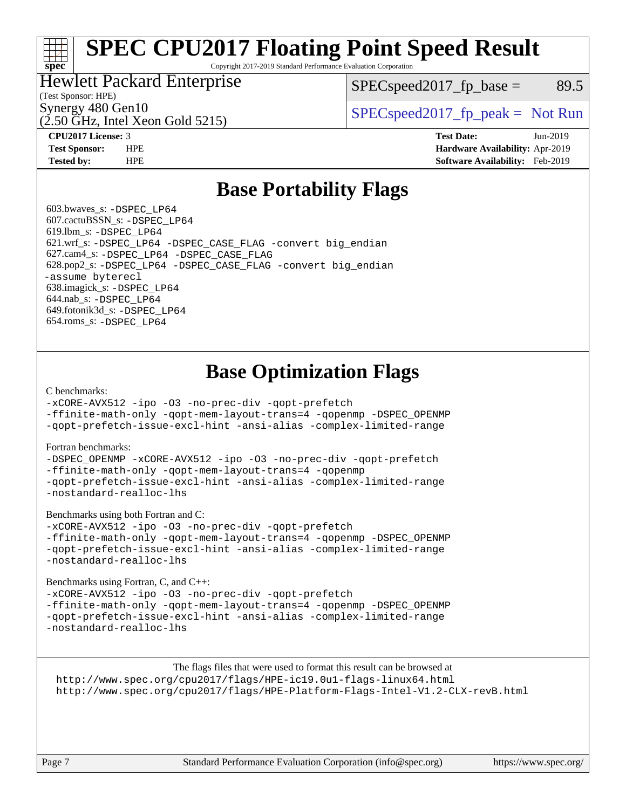# **[SPEC CPU2017 Floating Point Speed Result](http://www.spec.org/auto/cpu2017/Docs/result-fields.html#SPECCPU2017FloatingPointSpeedResult)**

Copyright 2017-2019 Standard Performance Evaluation Corporation

### Hewlett Packard Enterprise

 $SPEC speed2017<sub>fp</sub> base = 89.5$ 

### (Test Sponsor: HPE)

(2.50 GHz, Intel Xeon Gold 5215)

Synergy 480 Gen10  $S^{per}$  [SPECspeed2017\\_fp\\_peak =](http://www.spec.org/auto/cpu2017/Docs/result-fields.html#SPECspeed2017fppeak) Not Run

**[spec](http://www.spec.org/)**

**[CPU2017 License:](http://www.spec.org/auto/cpu2017/Docs/result-fields.html#CPU2017License)** 3 **[Test Date:](http://www.spec.org/auto/cpu2017/Docs/result-fields.html#TestDate)** Jun-2019 **[Test Sponsor:](http://www.spec.org/auto/cpu2017/Docs/result-fields.html#TestSponsor)** HPE **[Hardware Availability:](http://www.spec.org/auto/cpu2017/Docs/result-fields.html#HardwareAvailability)** Apr-2019 **[Tested by:](http://www.spec.org/auto/cpu2017/Docs/result-fields.html#Testedby)** HPE **[Software Availability:](http://www.spec.org/auto/cpu2017/Docs/result-fields.html#SoftwareAvailability)** Feb-2019

### **[Base Portability Flags](http://www.spec.org/auto/cpu2017/Docs/result-fields.html#BasePortabilityFlags)**

 603.bwaves\_s: [-DSPEC\\_LP64](http://www.spec.org/cpu2017/results/res2019q3/cpu2017-20190709-16108.flags.html#suite_basePORTABILITY603_bwaves_s_DSPEC_LP64) 607.cactuBSSN\_s: [-DSPEC\\_LP64](http://www.spec.org/cpu2017/results/res2019q3/cpu2017-20190709-16108.flags.html#suite_basePORTABILITY607_cactuBSSN_s_DSPEC_LP64) 619.lbm\_s: [-DSPEC\\_LP64](http://www.spec.org/cpu2017/results/res2019q3/cpu2017-20190709-16108.flags.html#suite_basePORTABILITY619_lbm_s_DSPEC_LP64) 621.wrf\_s: [-DSPEC\\_LP64](http://www.spec.org/cpu2017/results/res2019q3/cpu2017-20190709-16108.flags.html#suite_basePORTABILITY621_wrf_s_DSPEC_LP64) [-DSPEC\\_CASE\\_FLAG](http://www.spec.org/cpu2017/results/res2019q3/cpu2017-20190709-16108.flags.html#b621.wrf_s_baseCPORTABILITY_DSPEC_CASE_FLAG) [-convert big\\_endian](http://www.spec.org/cpu2017/results/res2019q3/cpu2017-20190709-16108.flags.html#user_baseFPORTABILITY621_wrf_s_convert_big_endian_c3194028bc08c63ac5d04de18c48ce6d347e4e562e8892b8bdbdc0214820426deb8554edfa529a3fb25a586e65a3d812c835984020483e7e73212c4d31a38223) 627.cam4\_s: [-DSPEC\\_LP64](http://www.spec.org/cpu2017/results/res2019q3/cpu2017-20190709-16108.flags.html#suite_basePORTABILITY627_cam4_s_DSPEC_LP64) [-DSPEC\\_CASE\\_FLAG](http://www.spec.org/cpu2017/results/res2019q3/cpu2017-20190709-16108.flags.html#b627.cam4_s_baseCPORTABILITY_DSPEC_CASE_FLAG) 628.pop2\_s: [-DSPEC\\_LP64](http://www.spec.org/cpu2017/results/res2019q3/cpu2017-20190709-16108.flags.html#suite_basePORTABILITY628_pop2_s_DSPEC_LP64) [-DSPEC\\_CASE\\_FLAG](http://www.spec.org/cpu2017/results/res2019q3/cpu2017-20190709-16108.flags.html#b628.pop2_s_baseCPORTABILITY_DSPEC_CASE_FLAG) [-convert big\\_endian](http://www.spec.org/cpu2017/results/res2019q3/cpu2017-20190709-16108.flags.html#user_baseFPORTABILITY628_pop2_s_convert_big_endian_c3194028bc08c63ac5d04de18c48ce6d347e4e562e8892b8bdbdc0214820426deb8554edfa529a3fb25a586e65a3d812c835984020483e7e73212c4d31a38223) [-assume byterecl](http://www.spec.org/cpu2017/results/res2019q3/cpu2017-20190709-16108.flags.html#user_baseFPORTABILITY628_pop2_s_assume_byterecl_7e47d18b9513cf18525430bbf0f2177aa9bf368bc7a059c09b2c06a34b53bd3447c950d3f8d6c70e3faf3a05c8557d66a5798b567902e8849adc142926523472) 638.imagick\_s: [-DSPEC\\_LP64](http://www.spec.org/cpu2017/results/res2019q3/cpu2017-20190709-16108.flags.html#suite_basePORTABILITY638_imagick_s_DSPEC_LP64) 644.nab\_s: [-DSPEC\\_LP64](http://www.spec.org/cpu2017/results/res2019q3/cpu2017-20190709-16108.flags.html#suite_basePORTABILITY644_nab_s_DSPEC_LP64) 649.fotonik3d\_s: [-DSPEC\\_LP64](http://www.spec.org/cpu2017/results/res2019q3/cpu2017-20190709-16108.flags.html#suite_basePORTABILITY649_fotonik3d_s_DSPEC_LP64) 654.roms\_s: [-DSPEC\\_LP64](http://www.spec.org/cpu2017/results/res2019q3/cpu2017-20190709-16108.flags.html#suite_basePORTABILITY654_roms_s_DSPEC_LP64)

## **[Base Optimization Flags](http://www.spec.org/auto/cpu2017/Docs/result-fields.html#BaseOptimizationFlags)**

### [C benchmarks](http://www.spec.org/auto/cpu2017/Docs/result-fields.html#Cbenchmarks):

[-xCORE-AVX512](http://www.spec.org/cpu2017/results/res2019q3/cpu2017-20190709-16108.flags.html#user_CCbase_f-xCORE-AVX512) [-ipo](http://www.spec.org/cpu2017/results/res2019q3/cpu2017-20190709-16108.flags.html#user_CCbase_f-ipo) [-O3](http://www.spec.org/cpu2017/results/res2019q3/cpu2017-20190709-16108.flags.html#user_CCbase_f-O3) [-no-prec-div](http://www.spec.org/cpu2017/results/res2019q3/cpu2017-20190709-16108.flags.html#user_CCbase_f-no-prec-div) [-qopt-prefetch](http://www.spec.org/cpu2017/results/res2019q3/cpu2017-20190709-16108.flags.html#user_CCbase_f-qopt-prefetch)

[-ffinite-math-only](http://www.spec.org/cpu2017/results/res2019q3/cpu2017-20190709-16108.flags.html#user_CCbase_f_finite_math_only_cb91587bd2077682c4b38af759c288ed7c732db004271a9512da14a4f8007909a5f1427ecbf1a0fb78ff2a814402c6114ac565ca162485bbcae155b5e4258871) [-qopt-mem-layout-trans=4](http://www.spec.org/cpu2017/results/res2019q3/cpu2017-20190709-16108.flags.html#user_CCbase_f-qopt-mem-layout-trans_fa39e755916c150a61361b7846f310bcdf6f04e385ef281cadf3647acec3f0ae266d1a1d22d972a7087a248fd4e6ca390a3634700869573d231a252c784941a8) [-qopenmp](http://www.spec.org/cpu2017/results/res2019q3/cpu2017-20190709-16108.flags.html#user_CCbase_qopenmp_16be0c44f24f464004c6784a7acb94aca937f053568ce72f94b139a11c7c168634a55f6653758ddd83bcf7b8463e8028bb0b48b77bcddc6b78d5d95bb1df2967) [-DSPEC\\_OPENMP](http://www.spec.org/cpu2017/results/res2019q3/cpu2017-20190709-16108.flags.html#suite_CCbase_DSPEC_OPENMP) [-qopt-prefetch-issue-excl-hint](http://www.spec.org/cpu2017/results/res2019q3/cpu2017-20190709-16108.flags.html#user_CCbase_f-qopt-prefetch-issue-excl-hint) [-ansi-alias](http://www.spec.org/cpu2017/results/res2019q3/cpu2017-20190709-16108.flags.html#user_CCbase_f-ansi-alias) [-complex-limited-range](http://www.spec.org/cpu2017/results/res2019q3/cpu2017-20190709-16108.flags.html#user_CCbase_f-complex-limited-range)

### [Fortran benchmarks](http://www.spec.org/auto/cpu2017/Docs/result-fields.html#Fortranbenchmarks):

[-DSPEC\\_OPENMP](http://www.spec.org/cpu2017/results/res2019q3/cpu2017-20190709-16108.flags.html#suite_FCbase_DSPEC_OPENMP) [-xCORE-AVX512](http://www.spec.org/cpu2017/results/res2019q3/cpu2017-20190709-16108.flags.html#user_FCbase_f-xCORE-AVX512) [-ipo](http://www.spec.org/cpu2017/results/res2019q3/cpu2017-20190709-16108.flags.html#user_FCbase_f-ipo) [-O3](http://www.spec.org/cpu2017/results/res2019q3/cpu2017-20190709-16108.flags.html#user_FCbase_f-O3) [-no-prec-div](http://www.spec.org/cpu2017/results/res2019q3/cpu2017-20190709-16108.flags.html#user_FCbase_f-no-prec-div) [-qopt-prefetch](http://www.spec.org/cpu2017/results/res2019q3/cpu2017-20190709-16108.flags.html#user_FCbase_f-qopt-prefetch) [-ffinite-math-only](http://www.spec.org/cpu2017/results/res2019q3/cpu2017-20190709-16108.flags.html#user_FCbase_f_finite_math_only_cb91587bd2077682c4b38af759c288ed7c732db004271a9512da14a4f8007909a5f1427ecbf1a0fb78ff2a814402c6114ac565ca162485bbcae155b5e4258871) [-qopt-mem-layout-trans=4](http://www.spec.org/cpu2017/results/res2019q3/cpu2017-20190709-16108.flags.html#user_FCbase_f-qopt-mem-layout-trans_fa39e755916c150a61361b7846f310bcdf6f04e385ef281cadf3647acec3f0ae266d1a1d22d972a7087a248fd4e6ca390a3634700869573d231a252c784941a8) [-qopenmp](http://www.spec.org/cpu2017/results/res2019q3/cpu2017-20190709-16108.flags.html#user_FCbase_qopenmp_16be0c44f24f464004c6784a7acb94aca937f053568ce72f94b139a11c7c168634a55f6653758ddd83bcf7b8463e8028bb0b48b77bcddc6b78d5d95bb1df2967) [-qopt-prefetch-issue-excl-hint](http://www.spec.org/cpu2017/results/res2019q3/cpu2017-20190709-16108.flags.html#user_FCbase_f-qopt-prefetch-issue-excl-hint) [-ansi-alias](http://www.spec.org/cpu2017/results/res2019q3/cpu2017-20190709-16108.flags.html#user_FCbase_f-ansi-alias) [-complex-limited-range](http://www.spec.org/cpu2017/results/res2019q3/cpu2017-20190709-16108.flags.html#user_FCbase_f-complex-limited-range) [-nostandard-realloc-lhs](http://www.spec.org/cpu2017/results/res2019q3/cpu2017-20190709-16108.flags.html#user_FCbase_f_2003_std_realloc_82b4557e90729c0f113870c07e44d33d6f5a304b4f63d4c15d2d0f1fab99f5daaed73bdb9275d9ae411527f28b936061aa8b9c8f2d63842963b95c9dd6426b8a)

[Benchmarks using both Fortran and C](http://www.spec.org/auto/cpu2017/Docs/result-fields.html#BenchmarksusingbothFortranandC):

[-xCORE-AVX512](http://www.spec.org/cpu2017/results/res2019q3/cpu2017-20190709-16108.flags.html#user_CC_FCbase_f-xCORE-AVX512) [-ipo](http://www.spec.org/cpu2017/results/res2019q3/cpu2017-20190709-16108.flags.html#user_CC_FCbase_f-ipo) [-O3](http://www.spec.org/cpu2017/results/res2019q3/cpu2017-20190709-16108.flags.html#user_CC_FCbase_f-O3) [-no-prec-div](http://www.spec.org/cpu2017/results/res2019q3/cpu2017-20190709-16108.flags.html#user_CC_FCbase_f-no-prec-div) [-qopt-prefetch](http://www.spec.org/cpu2017/results/res2019q3/cpu2017-20190709-16108.flags.html#user_CC_FCbase_f-qopt-prefetch) [-ffinite-math-only](http://www.spec.org/cpu2017/results/res2019q3/cpu2017-20190709-16108.flags.html#user_CC_FCbase_f_finite_math_only_cb91587bd2077682c4b38af759c288ed7c732db004271a9512da14a4f8007909a5f1427ecbf1a0fb78ff2a814402c6114ac565ca162485bbcae155b5e4258871) [-qopt-mem-layout-trans=4](http://www.spec.org/cpu2017/results/res2019q3/cpu2017-20190709-16108.flags.html#user_CC_FCbase_f-qopt-mem-layout-trans_fa39e755916c150a61361b7846f310bcdf6f04e385ef281cadf3647acec3f0ae266d1a1d22d972a7087a248fd4e6ca390a3634700869573d231a252c784941a8) [-qopenmp](http://www.spec.org/cpu2017/results/res2019q3/cpu2017-20190709-16108.flags.html#user_CC_FCbase_qopenmp_16be0c44f24f464004c6784a7acb94aca937f053568ce72f94b139a11c7c168634a55f6653758ddd83bcf7b8463e8028bb0b48b77bcddc6b78d5d95bb1df2967) [-DSPEC\\_OPENMP](http://www.spec.org/cpu2017/results/res2019q3/cpu2017-20190709-16108.flags.html#suite_CC_FCbase_DSPEC_OPENMP) [-qopt-prefetch-issue-excl-hint](http://www.spec.org/cpu2017/results/res2019q3/cpu2017-20190709-16108.flags.html#user_CC_FCbase_f-qopt-prefetch-issue-excl-hint) [-ansi-alias](http://www.spec.org/cpu2017/results/res2019q3/cpu2017-20190709-16108.flags.html#user_CC_FCbase_f-ansi-alias) [-complex-limited-range](http://www.spec.org/cpu2017/results/res2019q3/cpu2017-20190709-16108.flags.html#user_CC_FCbase_f-complex-limited-range) [-nostandard-realloc-lhs](http://www.spec.org/cpu2017/results/res2019q3/cpu2017-20190709-16108.flags.html#user_CC_FCbase_f_2003_std_realloc_82b4557e90729c0f113870c07e44d33d6f5a304b4f63d4c15d2d0f1fab99f5daaed73bdb9275d9ae411527f28b936061aa8b9c8f2d63842963b95c9dd6426b8a)

[Benchmarks using Fortran, C, and C++:](http://www.spec.org/auto/cpu2017/Docs/result-fields.html#BenchmarksusingFortranCandCXX)

[-xCORE-AVX512](http://www.spec.org/cpu2017/results/res2019q3/cpu2017-20190709-16108.flags.html#user_CC_CXX_FCbase_f-xCORE-AVX512) [-ipo](http://www.spec.org/cpu2017/results/res2019q3/cpu2017-20190709-16108.flags.html#user_CC_CXX_FCbase_f-ipo) [-O3](http://www.spec.org/cpu2017/results/res2019q3/cpu2017-20190709-16108.flags.html#user_CC_CXX_FCbase_f-O3) [-no-prec-div](http://www.spec.org/cpu2017/results/res2019q3/cpu2017-20190709-16108.flags.html#user_CC_CXX_FCbase_f-no-prec-div) [-qopt-prefetch](http://www.spec.org/cpu2017/results/res2019q3/cpu2017-20190709-16108.flags.html#user_CC_CXX_FCbase_f-qopt-prefetch) [-ffinite-math-only](http://www.spec.org/cpu2017/results/res2019q3/cpu2017-20190709-16108.flags.html#user_CC_CXX_FCbase_f_finite_math_only_cb91587bd2077682c4b38af759c288ed7c732db004271a9512da14a4f8007909a5f1427ecbf1a0fb78ff2a814402c6114ac565ca162485bbcae155b5e4258871) [-qopt-mem-layout-trans=4](http://www.spec.org/cpu2017/results/res2019q3/cpu2017-20190709-16108.flags.html#user_CC_CXX_FCbase_f-qopt-mem-layout-trans_fa39e755916c150a61361b7846f310bcdf6f04e385ef281cadf3647acec3f0ae266d1a1d22d972a7087a248fd4e6ca390a3634700869573d231a252c784941a8) [-qopenmp](http://www.spec.org/cpu2017/results/res2019q3/cpu2017-20190709-16108.flags.html#user_CC_CXX_FCbase_qopenmp_16be0c44f24f464004c6784a7acb94aca937f053568ce72f94b139a11c7c168634a55f6653758ddd83bcf7b8463e8028bb0b48b77bcddc6b78d5d95bb1df2967) [-DSPEC\\_OPENMP](http://www.spec.org/cpu2017/results/res2019q3/cpu2017-20190709-16108.flags.html#suite_CC_CXX_FCbase_DSPEC_OPENMP) [-qopt-prefetch-issue-excl-hint](http://www.spec.org/cpu2017/results/res2019q3/cpu2017-20190709-16108.flags.html#user_CC_CXX_FCbase_f-qopt-prefetch-issue-excl-hint) [-ansi-alias](http://www.spec.org/cpu2017/results/res2019q3/cpu2017-20190709-16108.flags.html#user_CC_CXX_FCbase_f-ansi-alias) [-complex-limited-range](http://www.spec.org/cpu2017/results/res2019q3/cpu2017-20190709-16108.flags.html#user_CC_CXX_FCbase_f-complex-limited-range) [-nostandard-realloc-lhs](http://www.spec.org/cpu2017/results/res2019q3/cpu2017-20190709-16108.flags.html#user_CC_CXX_FCbase_f_2003_std_realloc_82b4557e90729c0f113870c07e44d33d6f5a304b4f63d4c15d2d0f1fab99f5daaed73bdb9275d9ae411527f28b936061aa8b9c8f2d63842963b95c9dd6426b8a)

The flags files that were used to format this result can be browsed at <http://www.spec.org/cpu2017/flags/HPE-ic19.0u1-flags-linux64.html> <http://www.spec.org/cpu2017/flags/HPE-Platform-Flags-Intel-V1.2-CLX-revB.html>